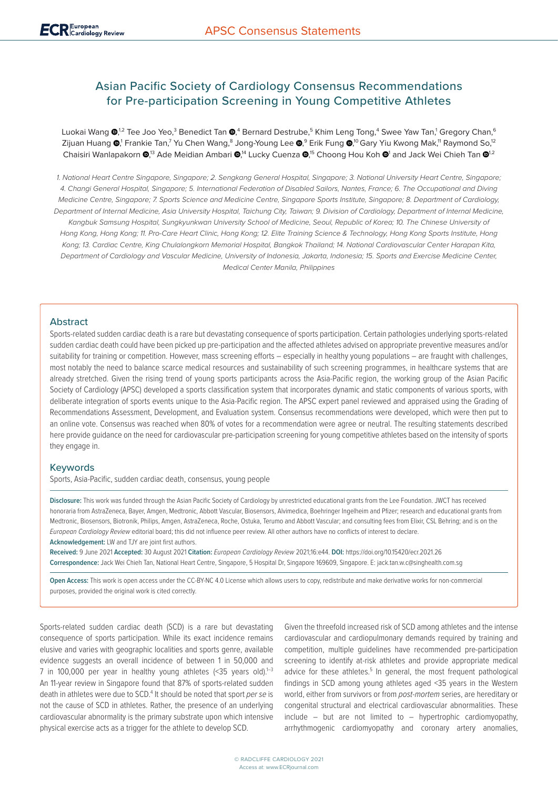# Asian Pacific Society of Cardiology Consensus Recommendations for Pre-participation Screening in Young Competitive Athletes

Luokai Wang **®**,½2 Tee Joo Yeo,<sup>3</sup> Benedict Tan **®**,4 Bernard Destrube,<sup>5</sup> Khim Leng Tong,4 Swee Yaw Tan,<sup>1</sup> Gregory Chan,<sup>6</sup> Zijuan Huang ®[,](https://orcid.org/0000-0001-5737-4968)' Frankie Tan,<sup>7</sup> Yu Chen Wang,<sup>8</sup> Jong-Young Lee ®,<sup>9</sup> Erik Fung ®,<sup>10</sup> Gary Yiu Kwong Mak,'' Raymond So,<sup>12</sup> Chaisiri Wanlapakorn @[,](https://orcid.org/0000-0002-7488-4107)<sup>13</sup> Ade Meidian Ambari @,<sup>14</sup> Lucky Cuenza @,<sup>15</sup> Choong Hou Koh @<sup>1</sup> and Jack Wei Chieh Tan @<sup>1,2</sup>

*1. National Heart Centre Singapore, Singapore; 2. Sengkang General Hospital, Singapore; 3. National University Heart Centre, Singapore; 4. Changi General Hospital, Singapore; 5. International Federation of Disabled Sailors, Nantes, France; 6. The Occupational and Diving Medicine Centre, Singapore; 7. Sports Science and Medicine Centre, Singapore Sports Institute, Singapore; 8. Department of Cardiology, Department of Internal Medicine, Asia University Hospital, Taichung City, Taiwan; 9. Division of Cardiology, Department of Internal Medicine, Kangbuk Samsung Hospital, Sungkyunkwan University School of Medicine, Seoul, Republic of Korea; 10. The Chinese University of Hong Kong, Hong Kong; 11. Pro-Care Heart Clinic, Hong Kong; 12. Elite Training Science & Technology, Hong Kong Sports Institute, Hong Kong; 13. Cardiac Centre, King Chulalongkorn Memorial Hospital, Bangkok Thailand; 14. National Cardiovascular Center Harapan Kita, Department of Cardiology and Vascular Medicine, University of Indonesia, Jakarta, Indonesia; 15. Sports and Exercise Medicine Center, Medical Center Manila, Philippines*

## Abstract

Sports-related sudden cardiac death is a rare but devastating consequence of sports participation. Certain pathologies underlying sports-related sudden cardiac death could have been picked up pre-participation and the affected athletes advised on appropriate preventive measures and/or suitability for training or competition. However, mass screening efforts – especially in healthy young populations – are fraught with challenges, most notably the need to balance scarce medical resources and sustainability of such screening programmes, in healthcare systems that are already stretched. Given the rising trend of young sports participants across the Asia-Pacific region, the working group of the Asian Pacific Society of Cardiology (APSC) developed a sports classification system that incorporates dynamic and static components of various sports, with deliberate integration of sports events unique to the Asia-Pacific region. The APSC expert panel reviewed and appraised using the Grading of Recommendations Assessment, Development, and Evaluation system. Consensus recommendations were developed, which were then put to an online vote. Consensus was reached when 80% of votes for a recommendation were agree or neutral. The resulting statements described here provide guidance on the need for cardiovascular pre-participation screening for young competitive athletes based on the intensity of sports they engage in.

## Keywords

Sports, Asia-Pacific, sudden cardiac death, consensus, young people

**Disclosure:** This work was funded through the Asian Pacific Society of Cardiology by unrestricted educational grants from the Lee Foundation. JWCT has received honoraria from AstraZeneca, Bayer, Amgen, Medtronic, Abbott Vascular, Biosensors, Alvimedica, Boehringer Ingelheim and Pfizer; research and educational grants from Medtronic, Biosensors, Biotronik, Philips, Amgen, AstraZeneca, Roche, Ostuka, Terumo and Abbott Vascular; and consulting fees from Elixir, CSL Behring; and is on the *European Cardiology Review* editorial board; this did not influence peer review. All other authors have no conflicts of interest to declare. **Acknowledgement:** LW and TJY are joint first authors.

**Received:** 9 June 2021 **Accepted:** 30 August 2021 **Citation:** *European Cardiology Review* 2021;16:e44. **DOI:** https://doi.org/10.15420/ecr.2021.26 **Correspondence:** Jack Wei Chieh Tan, National Heart Centre, Singapore, 5 Hospital Dr, Singapore 169609, Singapore. E: [jack.tan.w.c@singhealth.com.sg](mailto:jack.tan.w.c@singhealth.com.sg)

**Open Access:** This work is open access under the [CC-BY-NC 4.0 License](https://creativecommons.org/licenses/by-nc/4.0/legalcode) which allows users to copy, redistribute and make derivative works for non-commercial purposes, provided the original work is cited correctly.

Sports-related sudden cardiac death (SCD) is a rare but devastating consequence of sports participation. While its exact incidence remains elusive and varies with geographic localities and sports genre, available evidence suggests an overall incidence of between 1 in 50,000 and 7 in 100,000 per year in healthy young athletes  $\leq 35$  years old).<sup>1-3</sup> An 11-year review in Singapore found that 87% of sports-related sudden death in athletes were due to SCD.<sup>4</sup> It should be noted that sport *per se* is not the cause of SCD in athletes. Rather, the presence of an underlying cardiovascular abnormality is the primary substrate upon which intensive physical exercise acts as a trigger for the athlete to develop SCD.

Given the threefold increased risk of SCD among athletes and the intense cardiovascular and cardiopulmonary demands required by training and competition, multiple guidelines have recommended pre-participation screening to identify at-risk athletes and provide appropriate medical advice for these athletes.<sup>5</sup> In general, the most frequent pathological findings in SCD among young athletes aged <35 years in the Western world, either from survivors or from *post-mortem* series, are hereditary or congenital structural and electrical cardiovascular abnormalities. These include – but are not limited to – hypertrophic cardiomyopathy, arrhythmogenic cardiomyopathy and coronary artery anomalies,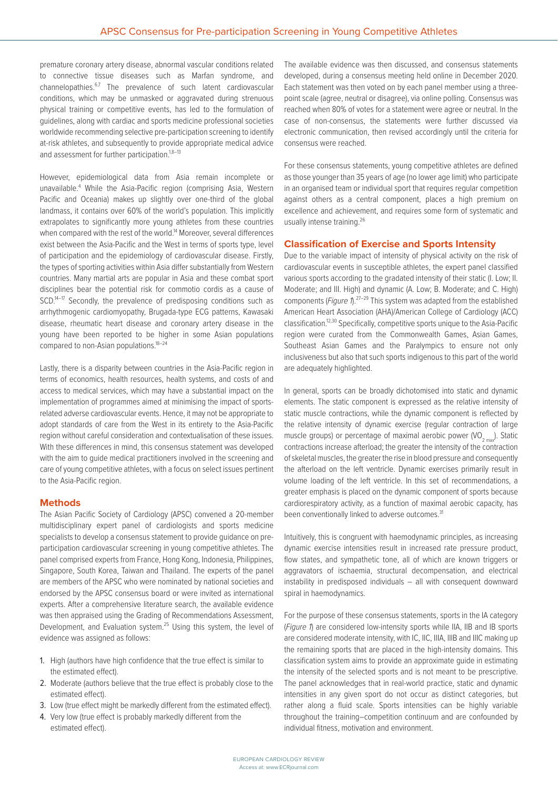premature coronary artery disease, abnormal vascular conditions related to connective tissue diseases such as Marfan syndrome, and channelopathies.<sup>6,7</sup> The prevalence of such latent cardiovascular conditions, which may be unmasked or aggravated during strenuous physical training or competitive events, has led to the formulation of guidelines, along with cardiac and sports medicine professional societies worldwide recommending selective pre-participation screening to identify at-risk athletes, and subsequently to provide appropriate medical advice and assessment for further participation.<sup>1,8-13</sup>

However, epidemiological data from Asia remain incomplete or unavailable.<sup>4</sup> While the Asia-Pacific region (comprising Asia, Western Pacific and Oceania) makes up slightly over one-third of the global landmass, it contains over 60% of the world's population. This implicitly extrapolates to significantly more young athletes from these countries when compared with the rest of the world.<sup>14</sup> Moreover, several differences exist between the Asia-Pacific and the West in terms of sports type, level of participation and the epidemiology of cardiovascular disease. Firstly, the types of sporting activities within Asia differ substantially from Western countries. Many martial arts are popular in Asia and these combat sport disciplines bear the potential risk for commotio cordis as a cause of SCD.<sup>14–17</sup> Secondly, the prevalence of predisposing conditions such as arrhythmogenic cardiomyopathy, Brugada-type ECG patterns, Kawasaki disease, rheumatic heart disease and coronary artery disease in the young have been reported to be higher in some Asian populations compared to non-Asian populations.18–24

Lastly, there is a disparity between countries in the Asia-Pacific region in terms of economics, health resources, health systems, and costs of and access to medical services, which may have a substantial impact on the implementation of programmes aimed at minimising the impact of sportsrelated adverse cardiovascular events. Hence, it may not be appropriate to adopt standards of care from the West in its entirety to the Asia-Pacific region without careful consideration and contextualisation of these issues. With these differences in mind, this consensus statement was developed with the aim to quide medical practitioners involved in the screening and care of young competitive athletes, with a focus on select issues pertinent to the Asia-Pacific region.

## **Methods**

The Asian Pacific Society of Cardiology (APSC) convened a 20-member multidisciplinary expert panel of cardiologists and sports medicine specialists to develop a consensus statement to provide guidance on preparticipation cardiovascular screening in young competitive athletes. The panel comprised experts from France, Hong Kong, Indonesia, Philippines, Singapore, South Korea, Taiwan and Thailand. The experts of the panel are members of the APSC who were nominated by national societies and endorsed by the APSC consensus board or were invited as international experts. After a comprehensive literature search, the available evidence was then appraised using the Grading of Recommendations Assessment, Development, and Evaluation system.<sup>25</sup> Using this system, the level of evidence was assigned as follows:

- 1. High (authors have high confidence that the true effect is similar to the estimated effect).
- 2. Moderate (authors believe that the true effect is probably close to the estimated effect).
- 3. Low (true effect might be markedly different from the estimated effect).
- 4. Very low (true effect is probably markedly different from the estimated effect).

The available evidence was then discussed, and consensus statements developed, during a consensus meeting held online in December 2020. Each statement was then voted on by each panel member using a threepoint scale (agree, neutral or disagree), via online polling. Consensus was reached when 80% of votes for a statement were agree or neutral. In the case of non-consensus, the statements were further discussed via electronic communication, then revised accordingly until the criteria for consensus were reached.

For these consensus statements, young competitive athletes are defined as those younger than 35 years of age (no lower age limit) who participate in an organised team or individual sport that requires regular competition against others as a central component, places a high premium on excellence and achievement, and requires some form of systematic and usually intense training.26

## **Classification of Exercise and Sports Intensity**

Due to the variable impact of intensity of physical activity on the risk of cardiovascular events in susceptible athletes, the expert panel classified various sports according to the gradated intensity of their static (I. Low; II. Moderate; and III. High) and dynamic (A. Low; B. Moderate; and C. High) components (*Figure 1*).<sup>27–29</sup> This system was adapted from the established American Heart Association (AHA)/American College of Cardiology (ACC) classification.12,30 Specifically, competitive sports unique to the Asia-Pacific region were curated from the Commonwealth Games, Asian Games, Southeast Asian Games and the Paralympics to ensure not only inclusiveness but also that such sports indigenous to this part of the world are adequately highlighted.

In general, sports can be broadly dichotomised into static and dynamic elements. The static component is expressed as the relative intensity of static muscle contractions, while the dynamic component is reflected by the relative intensity of dynamic exercise (regular contraction of large muscle groups) or percentage of maximal aerobic power  $(VO_{2, max})$ . Static contractions increase afterload; the greater the intensity of the contraction of skeletal muscles, the greater the rise in blood pressure and consequently the afterload on the left ventricle. Dynamic exercises primarily result in volume loading of the left ventricle. In this set of recommendations, a greater emphasis is placed on the dynamic component of sports because cardiorespiratory activity, as a function of maximal aerobic capacity, has been conventionally linked to adverse outcomes.<sup>31</sup>

Intuitively, this is congruent with haemodynamic principles, as increasing dynamic exercise intensities result in increased rate pressure product, flow states, and sympathetic tone, all of which are known triggers or aggravators of ischaemia, structural decompensation, and electrical instability in predisposed individuals – all with consequent downward spiral in haemodynamics.

For the purpose of these consensus statements, sports in the IA category (*Figure 1*) are considered low-intensity sports while IIA, IIB and IB sports are considered moderate intensity, with IC, IIC, IIIA, IIIB and IIIC making up the remaining sports that are placed in the high-intensity domains. This classification system aims to provide an approximate guide in estimating the intensity of the selected sports and is not meant to be prescriptive. The panel acknowledges that in real-world practice, static and dynamic intensities in any given sport do not occur as distinct categories, but rather along a fluid scale. Sports intensities can be highly variable throughout the training–competition continuum and are confounded by individual fitness, motivation and environment.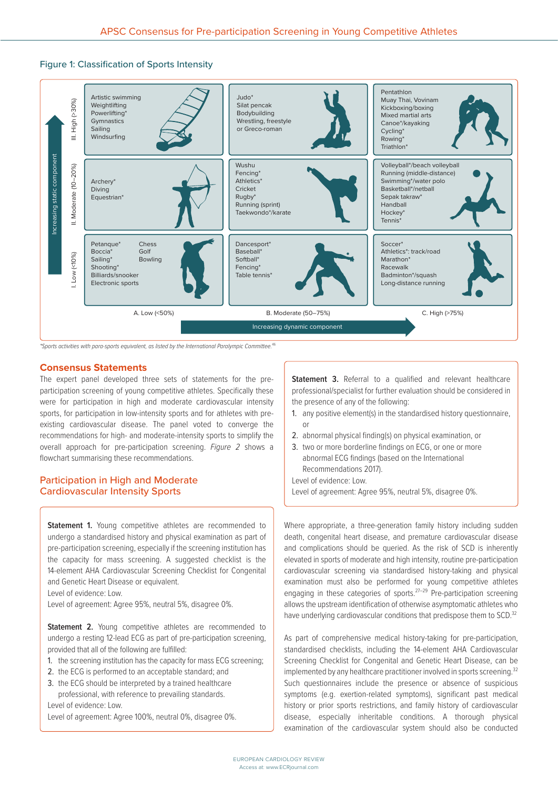# Figure 1: Classification of Sports Intensity



*\*Sports activities with para-sports equivalent, as listed by the International Paralympic Committee.*46

### **Consensus Statements**

The expert panel developed three sets of statements for the preparticipation screening of young competitive athletes. Specifically these were for participation in high and moderate cardiovascular intensity sports, for participation in low-intensity sports and for athletes with preexisting cardiovascular disease. The panel voted to converge the recommendations for high- and moderate-intensity sports to simplify the overall approach for pre-participation screening. *Figure 2* shows a flowchart summarising these recommendations.

# Participation in High and Moderate Cardiovascular Intensity Sports

**Statement 1.** Young competitive athletes are recommended to undergo a standardised history and physical examination as part of pre-participation screening, especially if the screening institution has the capacity for mass screening. A suggested checklist is the 14-element AHA Cardiovascular Screening Checklist for Congenital and Genetic Heart Disease or equivalent.

Level of evidence: Low.

Level of agreement: Agree 95%, neutral 5%, disagree 0%.

**Statement 2.** Young competitive athletes are recommended to undergo a resting 12-lead ECG as part of pre-participation screening, provided that all of the following are fulfilled:

- 1. the screening institution has the capacity for mass ECG screening;
- 2. the ECG is performed to an acceptable standard; and
- 3. the ECG should be interpreted by a trained healthcare professional, with reference to prevailing standards.

Level of evidence: Low.

Level of agreement: Agree 100%, neutral 0%, disagree 0%.

**Statement 3.** Referral to a qualified and relevant healthcare professional/specialist for further evaluation should be considered in the presence of any of the following:

- 1. any positive element(s) in the standardised history questionnaire, or
- 2. abnormal physical finding(s) on physical examination, or
- 3. two or more borderline findings on ECG, or one or more abnormal ECG findings (based on the International Recommendations 2017).

Level of evidence: Low.

Level of agreement: Agree 95%, neutral 5%, disagree 0%.

Where appropriate, a three-generation family history including sudden death, congenital heart disease, and premature cardiovascular disease and complications should be queried. As the risk of SCD is inherently elevated in sports of moderate and high intensity, routine pre-participation cardiovascular screening via standardised history-taking and physical examination must also be performed for young competitive athletes engaging in these categories of sports. $27-29$  Pre-participation screening allows the upstream identification of otherwise asymptomatic athletes who have underlying cardiovascular conditions that predispose them to SCD.<sup>32</sup>

As part of comprehensive medical history-taking for pre-participation, standardised checklists, including the 14-element AHA Cardiovascular Screening Checklist for Congenital and Genetic Heart Disease, can be implemented by any healthcare practitioner involved in sports screening.<sup>32</sup> Such questionnaires include the presence or absence of suspicious symptoms (e.g. exertion-related symptoms), significant past medical history or prior sports restrictions, and family history of cardiovascular disease, especially inheritable conditions. A thorough physical examination of the cardiovascular system should also be conducted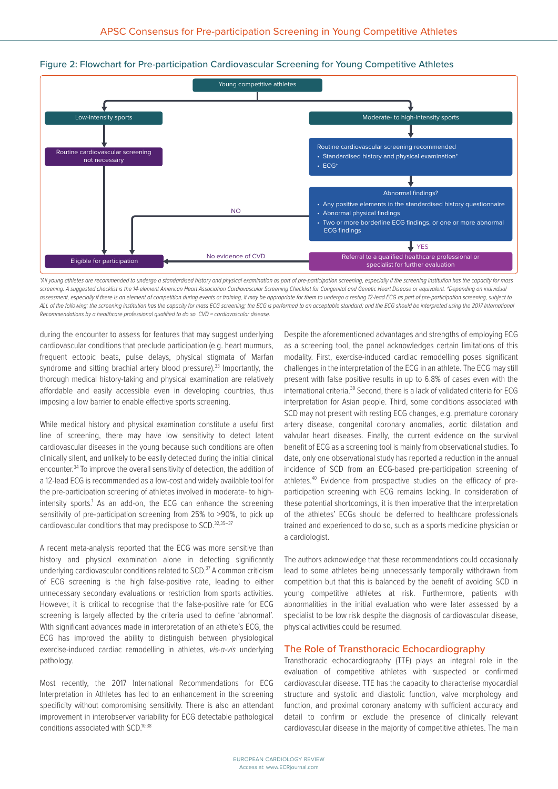



*\*All young athletes are recommended to undergo a standardised history and physical examination as part of pre-participation screening, especially if the screening institution has the capacity for mass*  screening. A suggested checklist is the 14-element American Heart Association Cardiovascular Screening Checklist for Congenital and Genetic Heart Disease or equivalent. <sup>+</sup>Depending on individual assessment, especially if there is an element of competition during events or training, it may be appropriate for them to undergo a resting 12-lead ECG as part of pre-participation screening, subject to ALL of the following: the screening institution has the capacity for mass ECG screening; the ECG is performed to an acceptable standard; and the ECG should be interpreted using the 2017 International *Recommendations by a healthcare professional qualified to do so. CVD = cardiovascular disease.*

during the encounter to assess for features that may suggest underlying cardiovascular conditions that preclude participation (e.g. heart murmurs, frequent ectopic beats, pulse delays, physical stigmata of Marfan syndrome and sitting brachial artery blood pressure).<sup>33</sup> Importantly, the thorough medical history-taking and physical examination are relatively affordable and easily accessible even in developing countries, thus imposing a low barrier to enable effective sports screening.

While medical history and physical examination constitute a useful first line of screening, there may have low sensitivity to detect latent cardiovascular diseases in the young because such conditions are often clinically silent, and unlikely to be easily detected during the initial clinical encounter.34 To improve the overall sensitivity of detection, the addition of a 12-lead ECG is recommended as a low-cost and widely available tool for the pre-participation screening of athletes involved in moderate- to highintensity sports.<sup>1</sup> As an add-on, the ECG can enhance the screening sensitivity of pre-participation screening from 25% to >90%, to pick up cardiovascular conditions that may predispose to SCD.<sup>32,35-37</sup>

A recent meta-analysis reported that the ECG was more sensitive than history and physical examination alone in detecting significantly underlying cardiovascular conditions related to SCD.37 A common criticism of ECG screening is the high false-positive rate, leading to either unnecessary secondary evaluations or restriction from sports activities. However, it is critical to recognise that the false-positive rate for ECG screening is largely affected by the criteria used to define 'abnormal'. With significant advances made in interpretation of an athlete's ECG, the ECG has improved the ability to distinguish between physiological exercise-induced cardiac remodelling in athletes, *vis-a-vis* underlying pathology.

Most recently, the 2017 International Recommendations for ECG Interpretation in Athletes has led to an enhancement in the screening specificity without compromising sensitivity. There is also an attendant improvement in interobserver variability for ECG detectable pathological conditions associated with SCD.<sup>10,38</sup>

Despite the aforementioned advantages and strengths of employing ECG as a screening tool, the panel acknowledges certain limitations of this modality. First, exercise-induced cardiac remodelling poses significant challenges in the interpretation of the ECG in an athlete. The ECG may still present with false positive results in up to 6.8% of cases even with the international criteria.39 Second, there is a lack of validated criteria for ECG interpretation for Asian people. Third, some conditions associated with SCD may not present with resting ECG changes, e.g. premature coronary artery disease, congenital coronary anomalies, aortic dilatation and valvular heart diseases. Finally, the current evidence on the survival benefit of ECG as a screening tool is mainly from observational studies. To date, only one observational study has reported a reduction in the annual incidence of SCD from an ECG-based pre-participation screening of athletes.40 Evidence from prospective studies on the efficacy of preparticipation screening with ECG remains lacking. In consideration of these potential shortcomings, it is then imperative that the interpretation of the athletes' ECGs should be deferred to healthcare professionals trained and experienced to do so, such as a sports medicine physician or a cardiologist.

The authors acknowledge that these recommendations could occasionally lead to some athletes being unnecessarily temporally withdrawn from competition but that this is balanced by the benefit of avoiding SCD in young competitive athletes at risk. Furthermore, patients with abnormalities in the initial evaluation who were later assessed by a specialist to be low risk despite the diagnosis of cardiovascular disease, physical activities could be resumed.

### The Role of Transthoracic Echocardiography

Transthoracic echocardiography (TTE) plays an integral role in the evaluation of competitive athletes with suspected or confirmed cardiovascular disease. TTE has the capacity to characterise myocardial structure and systolic and diastolic function, valve morphology and function, and proximal coronary anatomy with sufficient accuracy and detail to confirm or exclude the presence of clinically relevant cardiovascular disease in the majority of competitive athletes. The main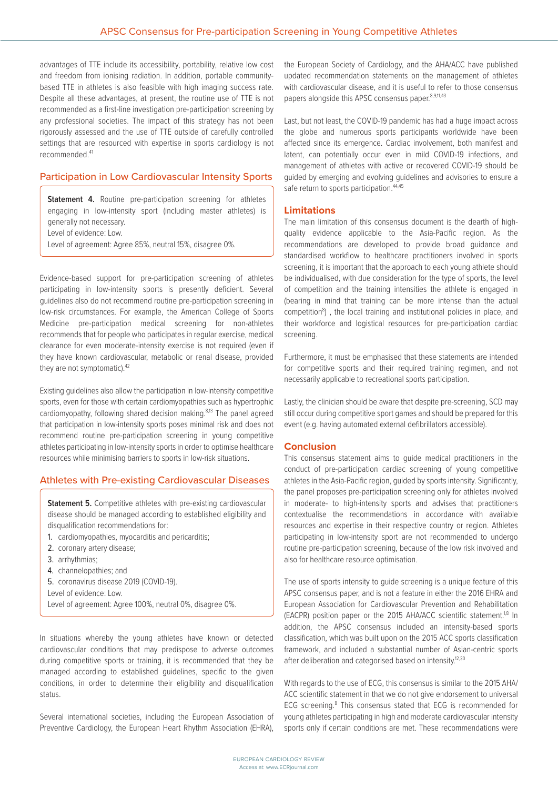advantages of TTE include its accessibility, portability, relative low cost and freedom from ionising radiation. In addition, portable communitybased TTE in athletes is also feasible with high imaging success rate. Despite all these advantages, at present, the routine use of TTE is not recommended as a first-line investigation pre-participation screening by any professional societies. The impact of this strategy has not been rigorously assessed and the use of TTE outside of carefully controlled settings that are resourced with expertise in sports cardiology is not recommended.41

# Participation in Low Cardiovascular Intensity Sports

**Statement 4.** Routine pre-participation screening for athletes engaging in low-intensity sport (including master athletes) is generally not necessary. Level of evidence: Low. Level of agreement: Agree 85%, neutral 15%, disagree 0%.

Evidence-based support for pre-participation screening of athletes participating in low-intensity sports is presently deficient. Several guidelines also do not recommend routine pre-participation screening in low-risk circumstances. For example, the American College of Sports Medicine pre-participation medical screening for non-athletes recommends that for people who participates in regular exercise, medical clearance for even moderate-intensity exercise is not required (even if they have known cardiovascular, metabolic or renal disease, provided they are not symptomatic).<sup>42</sup>

Existing guidelines also allow the participation in low-intensity competitive sports, even for those with certain cardiomyopathies such as hypertrophic cardiomyopathy, following shared decision making.<sup>8,13</sup> The panel agreed that participation in low-intensity sports poses minimal risk and does not recommend routine pre-participation screening in young competitive athletes participating in low-intensity sports in order to optimise healthcare resources while minimising barriers to sports in low-risk situations.

## Athletes with Pre-existing Cardiovascular Diseases

**Statement 5.** Competitive athletes with pre-existing cardiovascular disease should be managed according to established eligibility and disqualification recommendations for:

- 1. cardiomyopathies, myocarditis and pericarditis;
- 2. coronary artery disease;
- 3. arrhythmias;
- 4. channelopathies; and
- 5. coronavirus disease 2019 (COVID-19).
- Level of evidence: Low.
- Level of agreement: Agree 100%, neutral 0%, disagree 0%.

In situations whereby the young athletes have known or detected cardiovascular conditions that may predispose to adverse outcomes during competitive sports or training, it is recommended that they be managed according to established guidelines, specific to the given conditions, in order to determine their eligibility and disqualification status.

Several international societies, including the European Association of Preventive Cardiology, the European Heart Rhythm Association (EHRA), the European Society of Cardiology, and the AHA/ACC have published updated recommendation statements on the management of athletes with cardiovascular disease, and it is useful to refer to those consensus papers alongside this APSC consensus paper.<sup>8,9,11,43</sup>

Last, but not least, the COVID-19 pandemic has had a huge impact across the globe and numerous sports participants worldwide have been affected since its emergence. Cardiac involvement, both manifest and latent, can potentially occur even in mild COVID-19 infections, and management of athletes with active or recovered COVID-19 should be guided by emerging and evolving guidelines and advisories to ensure a safe return to sports participation.<sup>44,45</sup>

### **Limitations**

The main limitation of this consensus document is the dearth of highquality evidence applicable to the Asia-Pacific region. As the recommendations are developed to provide broad guidance and standardised workflow to healthcare practitioners involved in sports screening, it is important that the approach to each young athlete should be individualised, with due consideration for the type of sports, the level of competition and the training intensities the athlete is engaged in (bearing in mind that training can be more intense than the actual competition<sup>8</sup>), the local training and institutional policies in place, and their workforce and logistical resources for pre-participation cardiac screening.

Furthermore, it must be emphasised that these statements are intended for competitive sports and their required training regimen, and not necessarily applicable to recreational sports participation.

Lastly, the clinician should be aware that despite pre-screening, SCD may still occur during competitive sport games and should be prepared for this event (e.g. having automated external defibrillators accessible).

### **Conclusion**

This consensus statement aims to guide medical practitioners in the conduct of pre-participation cardiac screening of young competitive athletes in the Asia-Pacific region, guided by sports intensity. Significantly, the panel proposes pre-participation screening only for athletes involved in moderate- to high-intensity sports and advises that practitioners contextualise the recommendations in accordance with available resources and expertise in their respective country or region. Athletes participating in low-intensity sport are not recommended to undergo routine pre-participation screening, because of the low risk involved and also for healthcare resource optimisation.

The use of sports intensity to quide screening is a unique feature of this APSC consensus paper, and is not a feature in either the 2016 EHRA and European Association for Cardiovascular Prevention and Rehabilitation (EACPR) position paper or the 2015 AHA/ACC scientific statement.<sup>1,8</sup> In addition, the APSC consensus included an intensity-based sports classification, which was built upon on the 2015 ACC sports classification framework, and included a substantial number of Asian-centric sports after deliberation and categorised based on intensity.<sup>12,30</sup>

With regards to the use of ECG, this consensus is similar to the 2015 AHA/ ACC scientific statement in that we do not give endorsement to universal ECG screening.<sup>8</sup> This consensus stated that ECG is recommended for young athletes participating in high and moderate cardiovascular intensity sports only if certain conditions are met. These recommendations were